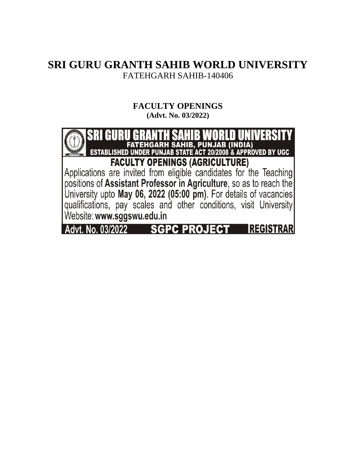# **SRI GURU GRANTH SAHIB WORLD UNIVERSITY** FATEHGARH SAHIB-140406

# **FACULTY OPENINGS**

**(Advt. No. 03/2022)** 

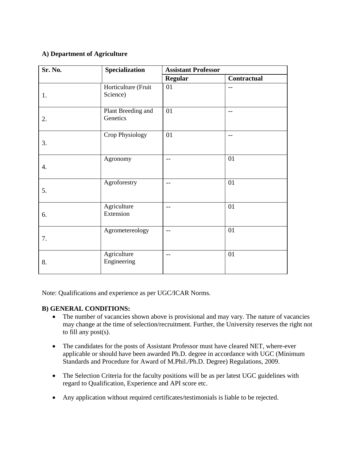## **A) Department of Agriculture**

| Sr. No. | Specialization                  | <b>Assistant Professor</b> |             |
|---------|---------------------------------|----------------------------|-------------|
|         |                                 | <b>Regular</b>             | Contractual |
| 1.      | Horticulture (Fruit<br>Science) | 01                         | $-$         |
| 2.      | Plant Breeding and<br>Genetics  | 01                         | $-$         |
| 3.      | Crop Physiology                 | 01                         | $-$         |
| 4.      | Agronomy                        | $-$                        | 01          |
| 5.      | Agroforestry                    | $-$                        | 01          |
| 6.      | Agriculture<br>Extension        | $-$                        | 01          |
| 7.      | Agrometereology                 | $-$                        | 01          |
| 8.      | Agriculture<br>Engineering      | $-$                        | 01          |

Note: Qualifications and experience as per UGC/ICAR Norms.

#### **B) GENERAL CONDITIONS:**

- The number of vacancies shown above is provisional and may vary. The nature of vacancies may change at the time of selection/recruitment. Further, the University reserves the right not to fill any post(s).
- The candidates for the posts of Assistant Professor must have cleared NET, where-ever applicable or should have been awarded Ph.D. degree in accordance with UGC (Minimum Standards and Procedure for Award of M.Phil./Ph.D. Degree) Regulations, 2009.
- The Selection Criteria for the faculty positions will be as per latest UGC guidelines with regard to Qualification, Experience and API score etc.
- Any application without required certificates/testimonials is liable to be rejected.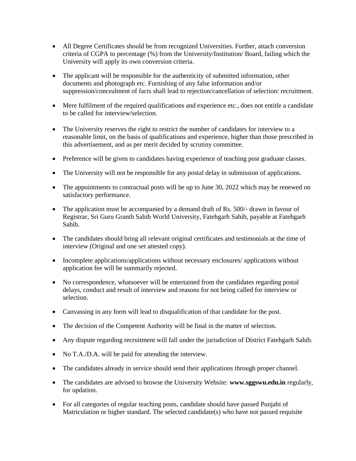- All Degree Certificates should be from recognized Universities. Further, attach conversion criteria of CGPA to percentage (%) from the University/Institution/ Board, failing which the University will apply its own conversion criteria.
- The applicant will be responsible for the authenticity of submitted information, other documents and photograph etc. Furnishing of any false information and/or suppression/concealment of facts shall lead to rejection/cancellation of selection/ recruitment.
- Mere fulfilment of the required qualifications and experience etc., does not entitle a candidate to be called for interview/selection.
- The University reserves the right to restrict the number of candidates for interview to a reasonable limit, on the basis of qualifications and experience, higher than those prescribed in this advertisement, and as per merit decided by scrutiny committee.
- Preference will be given to candidates having experience of teaching post graduate classes.
- The University will not be responsible for any postal delay in submission of applications.
- The appointments to contractual posts will be up to June 30, 2022 which may be renewed on satisfactory performance.
- The application must be accompanied by a demand draft of Rs. 500/- drawn in favour of Registrar, Sri Guru Granth Sahib World University, Fatehgarh Sahib, payable at Fatehgarh Sahib.
- The candidates should bring all relevant original certificates and testimonials at the time of interview (Original and one set attested copy).
- Incomplete applications/applications without necessary enclosures/ applications without application fee will be summarily rejected.
- No correspondence, whatsoever will be entertained from the candidates regarding postal delays, conduct and result of interview and reasons for not being called for interview or selection.
- Canvassing in any form will lead to disqualification of that candidate for the post.
- The decision of the Competent Authority will be final in the matter of selection.
- Any dispute regarding recruitment will fall under the jurisdiction of District Fatehgarh Sahib.
- No T.A./D.A. will be paid for attending the interview.
- The candidates already in service should send their applications through proper channel.
- The candidates are advised to browse the University Website: **www.sggswu.edu.in** regularly, for updation.
- For all categories of regular teaching posts, candidate should have passed Punjabi of Matriculation or higher standard. The selected candidate(s) who have not passed requisite